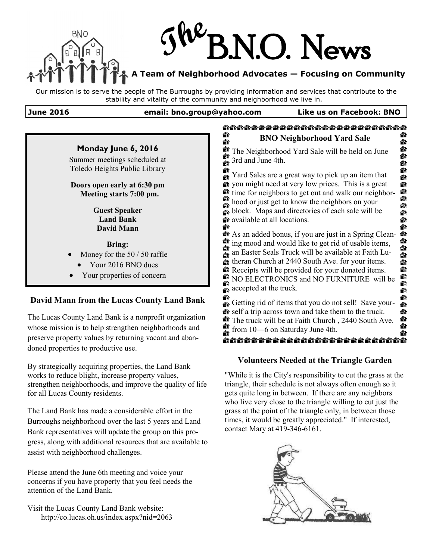# **The** BNO N.O. News **A Team of Neighborhood Advocates — Focusing on Community**

Our mission is to serve the people of The Burroughs by providing information and services that contribute to the stability and vitality of the community and neighborhood we live in.

#### **June 2016 email: bno.group@yahoo.com Like us on Facebook: BNO**



By strategically acquiring properties, the Land Bank works to reduce blight, increase property values, strengthen neighborhoods, and improve the quality of life for all Lucas County residents.

The Land Bank has made a considerable effort in the Burroughs neighborhood over the last 5 years and Land Bank representatives will update the group on this progress, along with additional resources that are available to assist with neighborhood challenges.

Please attend the June 6th meeting and voice your concerns if you have property that you feel needs the attention of the Land Bank.

Visit the Lucas County Land Bank website: http://co.lucas.oh.us/index.aspx?nid=2063

### **Volunteers Needed at the Triangle Garden**

"While it is the City's responsibility to cut the grass at the triangle, their schedule is not always often enough so it gets quite long in between. If there are any neighbors who live very close to the triangle willing to cut just the grass at the point of the triangle only, in between those times, it would be greatly appreciated." If interested, contact Mary at 419-346-6161.